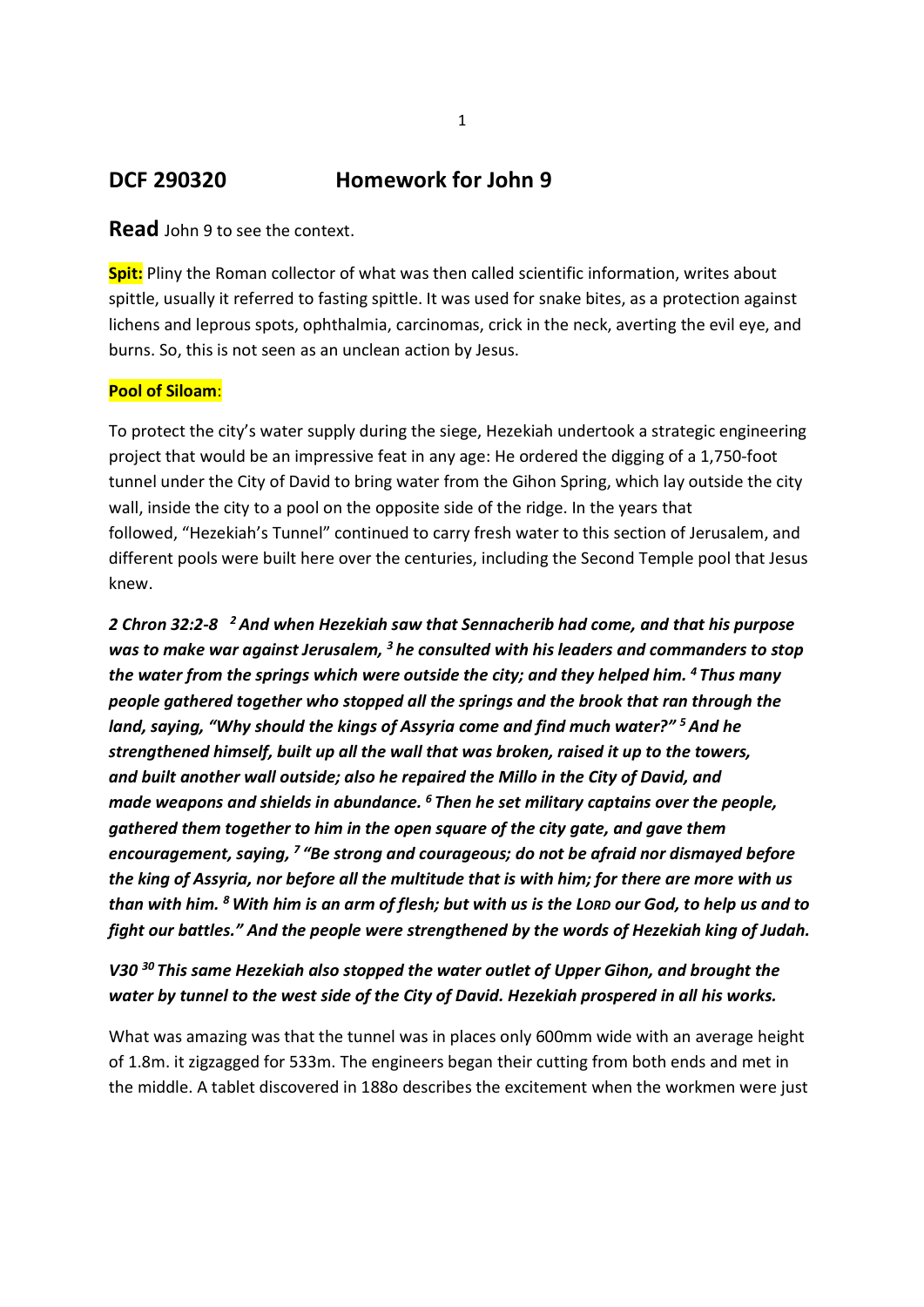## DCF 290320 Homework for John 9

**Read** John 9 to see the context.

Spit: Pliny the Roman collector of what was then called scientific information, writes about spittle, usually it referred to fasting spittle. It was used for snake bites, as a protection against lichens and leprous spots, ophthalmia, carcinomas, crick in the neck, averting the evil eye, and burns. So, this is not seen as an unclean action by Jesus.

#### Pool of Siloam:

To protect the city's water supply during the siege, Hezekiah undertook a strategic engineering project that would be an impressive feat in any age: He ordered the digging of a 1,750-foot tunnel under the City of David to bring water from the Gihon Spring, which lay outside the city wall, inside the city to a pool on the opposite side of the ridge. In the years that followed, "Hezekiah's Tunnel" continued to carry fresh water to this section of Jerusalem, and different pools were built here over the centuries, including the Second Temple pool that Jesus knew.

2 Chron 32:2-8 <sup>2</sup> And when Hezekiah saw that Sennacherib had come, and that his purpose was to make war against Jerusalem, <sup>3</sup> he consulted with his leaders and commanders to stop the water from the springs which were outside the city; and they helped him.  $4$  Thus many people gathered together who stopped all the springs and the brook that ran through the land, saying, "Why should the kings of Assyria come and find much water?" <sup>5</sup> And he strengthened himself, built up all the wall that was broken, raised it up to the towers, and built another wall outside; also he repaired the Millo in the City of David, and made weapons and shields in abundance. <sup>6</sup> Then he set military captains over the people, gathered them together to him in the open square of the city gate, and gave them encouragement, saying, <sup>7</sup> "Be strong and courageous; do not be afraid nor dismayed before the king of Assyria, nor before all the multitude that is with him; for there are more with us than with him. <sup>8</sup> With him is an arm of flesh; but with us is the LORD our God, to help us and to fight our battles." And the people were strengthened by the words of Hezekiah king of Judah.

### V30 <sup>30</sup> This same Hezekiah also stopped the water outlet of Upper Gihon, and brought the water by tunnel to the west side of the City of David. Hezekiah prospered in all his works.

What was amazing was that the tunnel was in places only 600mm wide with an average height of 1.8m. it zigzagged for 533m. The engineers began their cutting from both ends and met in the middle. A tablet discovered in 188o describes the excitement when the workmen were just

1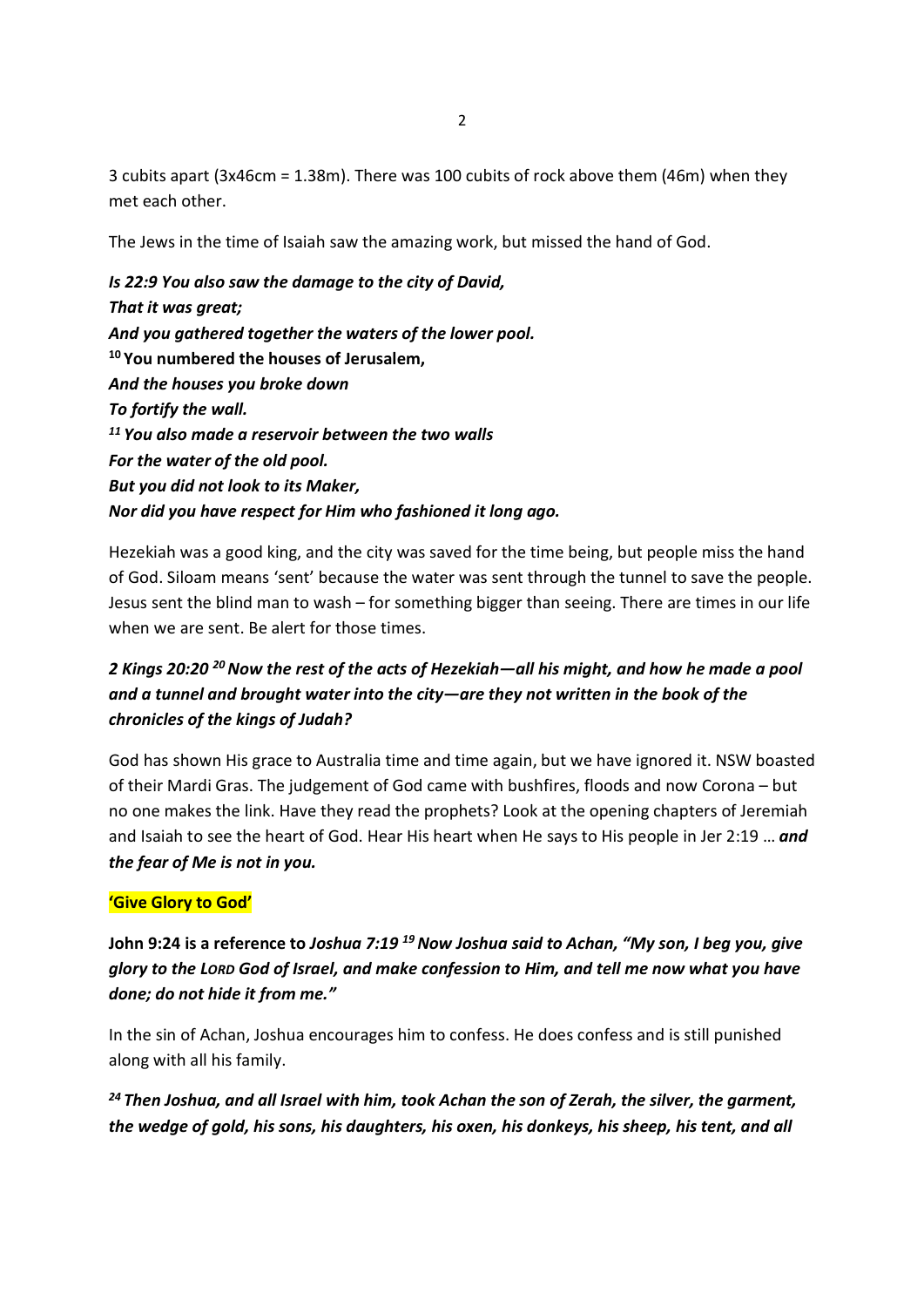3 cubits apart (3x46cm = 1.38m). There was 100 cubits of rock above them (46m) when they met each other.

The Jews in the time of Isaiah saw the amazing work, but missed the hand of God.

Is 22:9 You also saw the damage to the city of David, That it was areat: And you gathered together the waters of the lower pool. <sup>10</sup>You numbered the houses of Jerusalem, And the houses you broke down To fortify the wall.  $11$  You also made a reservoir between the two walls For the water of the old pool. But you did not look to its Maker, Nor did you have respect for Him who fashioned it long ago.

Hezekiah was a good king, and the city was saved for the time being, but people miss the hand of God. Siloam means 'sent' because the water was sent through the tunnel to save the people. Jesus sent the blind man to wash – for something bigger than seeing. There are times in our life when we are sent. Be alert for those times.

## 2 Kings 20:20<sup>20</sup> Now the rest of the acts of Hezekiah—all his might, and how he made a pool and a tunnel and brought water into the city—are they not written in the book of the chronicles of the kings of Judah?

God has shown His grace to Australia time and time again, but we have ignored it. NSW boasted of their Mardi Gras. The judgement of God came with bushfires, floods and now Corona – but no one makes the link. Have they read the prophets? Look at the opening chapters of Jeremiah and Isaiah to see the heart of God. Hear His heart when He says to His people in Jer 2:19 ... and the fear of Me is not in you.

#### 'Give Glory to God'

John 9:24 is a reference to Joshua 7:19  $^{19}$  Now Joshua said to Achan, "My son, I beg you, give glory to the LORD God of Israel, and make confession to Him, and tell me now what you have done; do not hide it from me."

In the sin of Achan, Joshua encourages him to confess. He does confess and is still punished along with all his family.

 $24$  Then Joshua, and all Israel with him, took Achan the son of Zerah, the silver, the garment, the wedge of gold, his sons, his daughters, his oxen, his donkeys, his sheep, his tent, and all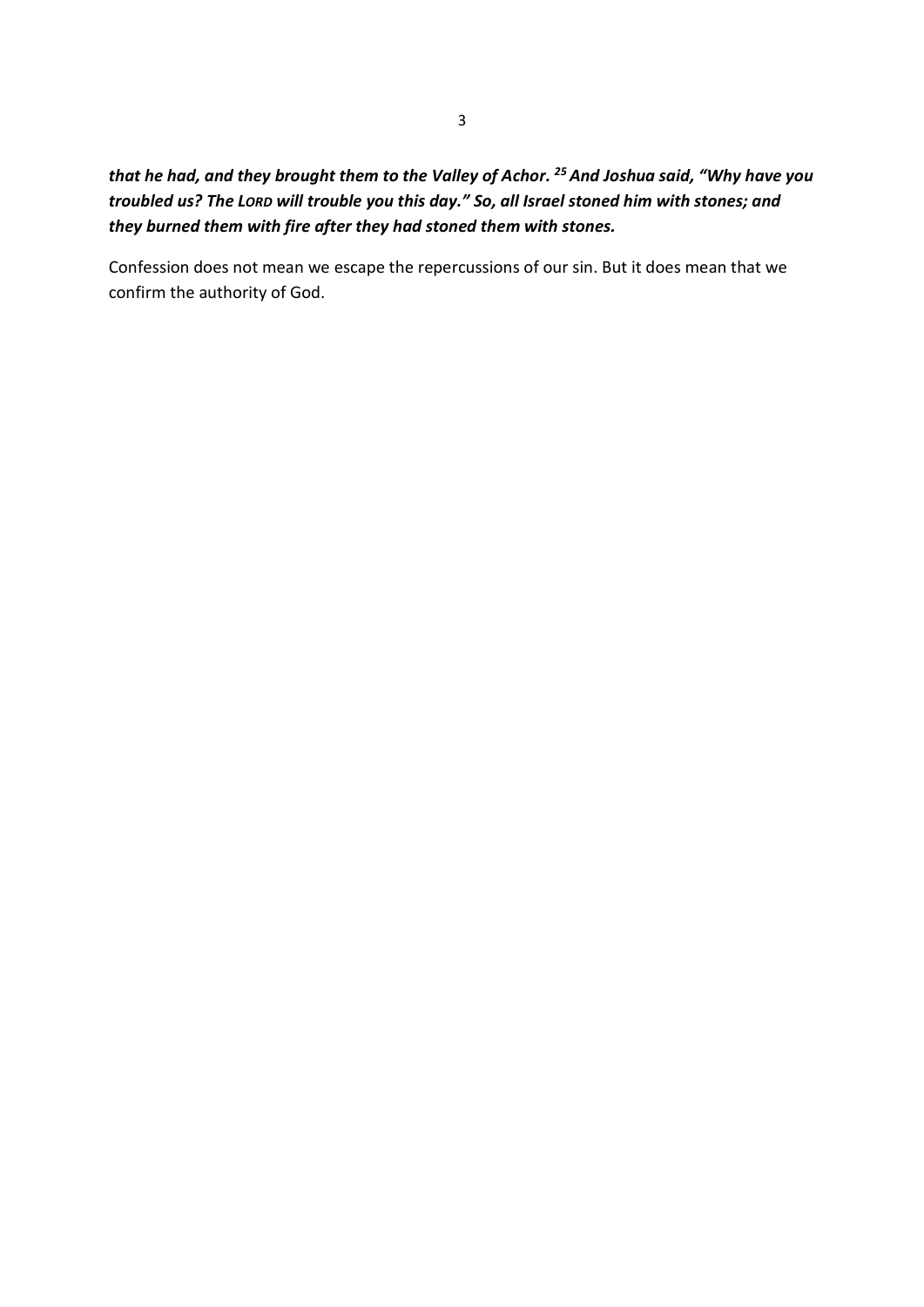that he had, and they brought them to the Valley of Achor. <sup>25</sup> And Joshua said, "Why have you troubled us? The LORD will trouble you this day." So, all Israel stoned him with stones; and they burned them with fire after they had stoned them with stones.

Confession does not mean we escape the repercussions of our sin. But it does mean that we confirm the authority of God.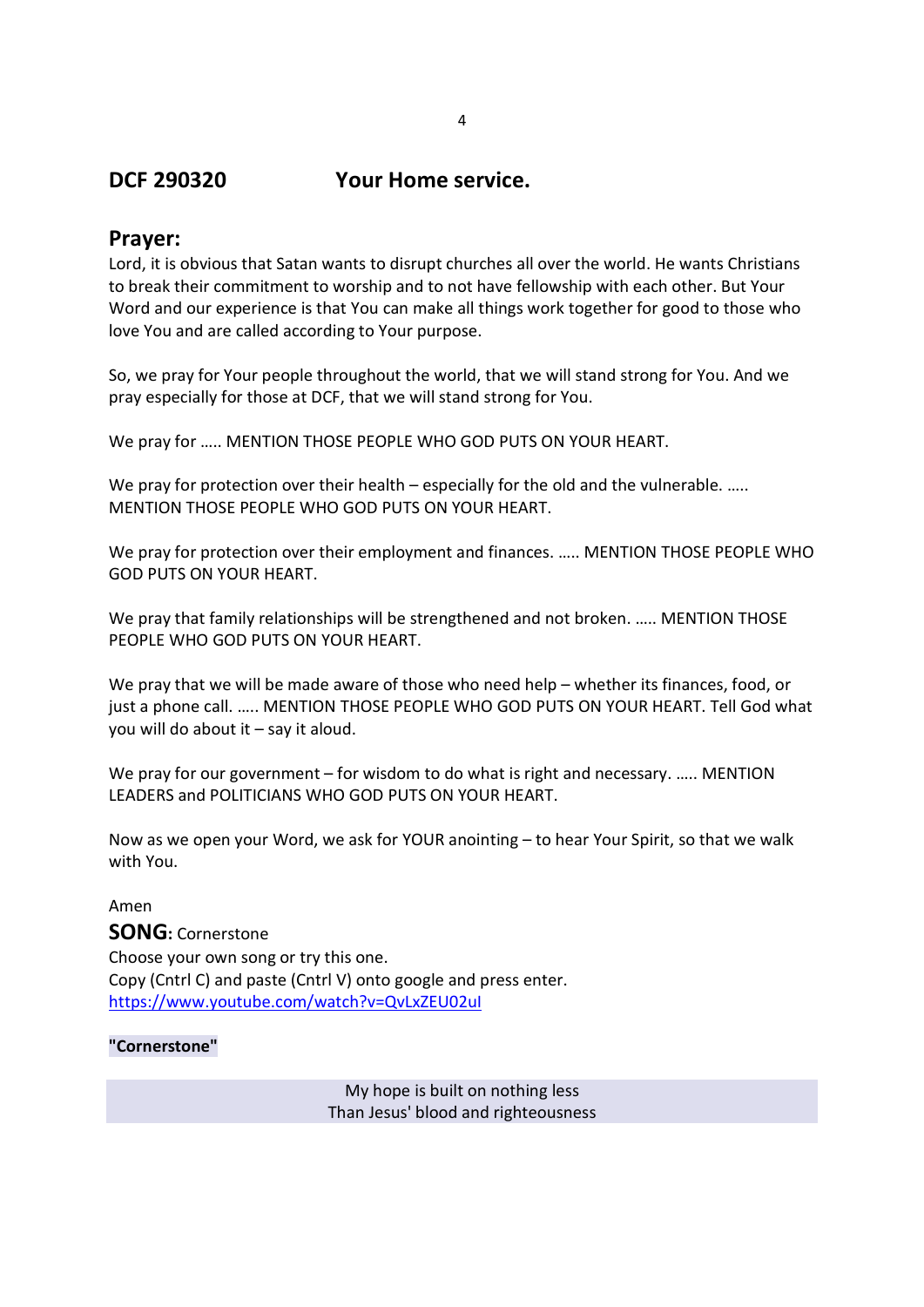## DCF 290320 Your Home service.

#### Prayer:

Lord, it is obvious that Satan wants to disrupt churches all over the world. He wants Christians to break their commitment to worship and to not have fellowship with each other. But Your Word and our experience is that You can make all things work together for good to those who love You and are called according to Your purpose.

So, we pray for Your people throughout the world, that we will stand strong for You. And we pray especially for those at DCF, that we will stand strong for You.

We pray for ….. MENTION THOSE PEOPLE WHO GOD PUTS ON YOUR HEART.

We pray for protection over their health – especially for the old and the vulnerable. ..... MENTION THOSE PEOPLE WHO GOD PUTS ON YOUR HEART.

We pray for protection over their employment and finances. ….. MENTION THOSE PEOPLE WHO GOD PUTS ON YOUR HEART.

We pray that family relationships will be strengthened and not broken. ….. MENTION THOSE PEOPLE WHO GOD PUTS ON YOUR HEART.

We pray that we will be made aware of those who need help – whether its finances, food, or just a phone call. ….. MENTION THOSE PEOPLE WHO GOD PUTS ON YOUR HEART. Tell God what you will do about it – say it aloud.

We pray for our government – for wisdom to do what is right and necessary. ..... MENTION LEADERS and POLITICIANS WHO GOD PUTS ON YOUR HEART.

Now as we open your Word, we ask for YOUR anointing – to hear Your Spirit, so that we walk with You.

#### Amen SONG: Cornerstone

Choose your own song or try this one. Copy (Cntrl C) and paste (Cntrl V) onto google and press enter. https://www.youtube.com/watch?v=QvLxZEU02uI

#### "Cornerstone"

My hope is built on nothing less Than Jesus' blood and righteousness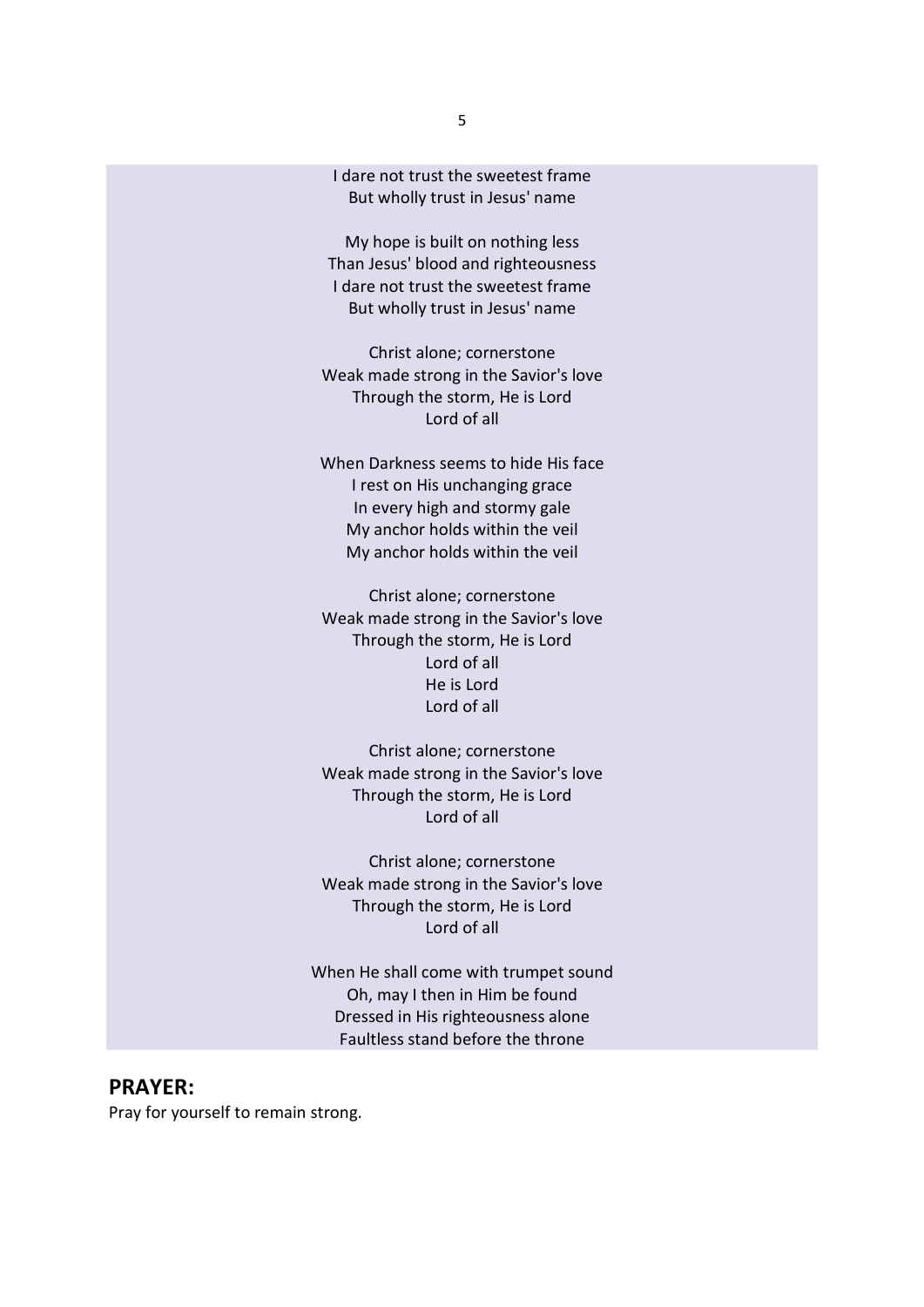I dare not trust the sweetest frame But wholly trust in Jesus' name

My hope is built on nothing less Than Jesus' blood and righteousness I dare not trust the sweetest frame But wholly trust in Jesus' name

Christ alone; cornerstone Weak made strong in the Savior's love Through the storm, He is Lord Lord of all

When Darkness seems to hide His face I rest on His unchanging grace In every high and stormy gale My anchor holds within the veil My anchor holds within the veil

Christ alone; cornerstone Weak made strong in the Savior's love Through the storm, He is Lord Lord of all He is Lord Lord of all

Christ alone; cornerstone Weak made strong in the Savior's love Through the storm, He is Lord Lord of all

Christ alone; cornerstone Weak made strong in the Savior's love Through the storm, He is Lord Lord of all

When He shall come with trumpet sound Oh, may I then in Him be found Dressed in His righteousness alone Faultless stand before the throne

#### PRAYER:

Pray for yourself to remain strong.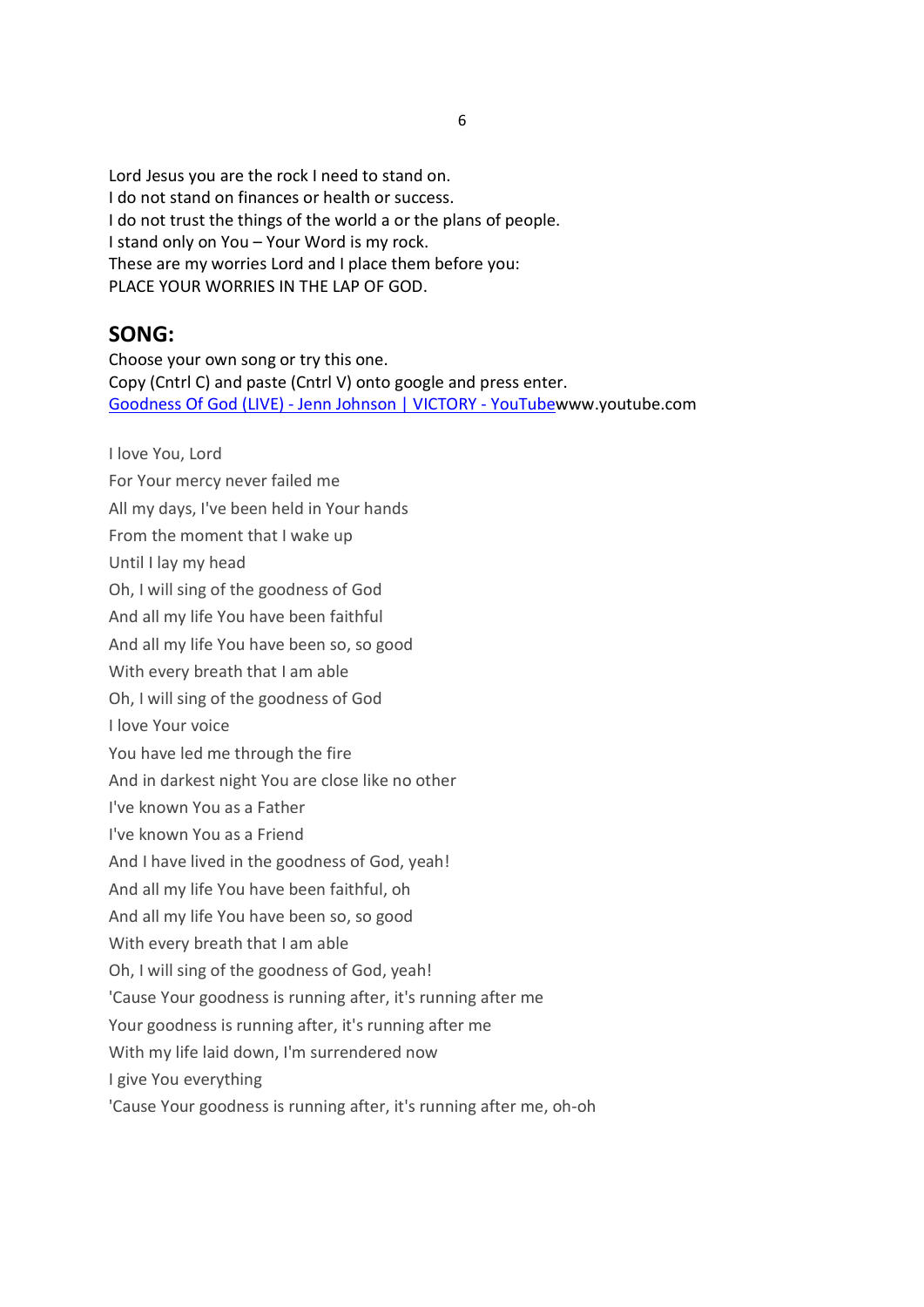Lord Jesus you are the rock I need to stand on. I do not stand on finances or health or success. I do not trust the things of the world a or the plans of people. I stand only on You – Your Word is my rock. These are my worries Lord and I place them before you: PLACE YOUR WORRIES IN THE LAP OF GOD.

### SONG:

Choose your own song or try this one. Copy (Cntrl C) and paste (Cntrl V) onto google and press enter. Goodness Of God (LIVE) - Jenn Johnson | VICTORY - YouTubewww.youtube.com

I love You, Lord For Your mercy never failed me All my days, I've been held in Your hands From the moment that I wake up Until I lay my head Oh, I will sing of the goodness of God And all my life You have been faithful And all my life You have been so, so good With every breath that I am able Oh, I will sing of the goodness of God I love Your voice You have led me through the fire And in darkest night You are close like no other I've known You as a Father I've known You as a Friend And I have lived in the goodness of God, yeah! And all my life You have been faithful, oh And all my life You have been so, so good With every breath that I am able Oh, I will sing of the goodness of God, yeah! 'Cause Your goodness is running after, it's running after me Your goodness is running after, it's running after me With my life laid down, I'm surrendered now I give You everything 'Cause Your goodness is running after, it's running after me, oh-oh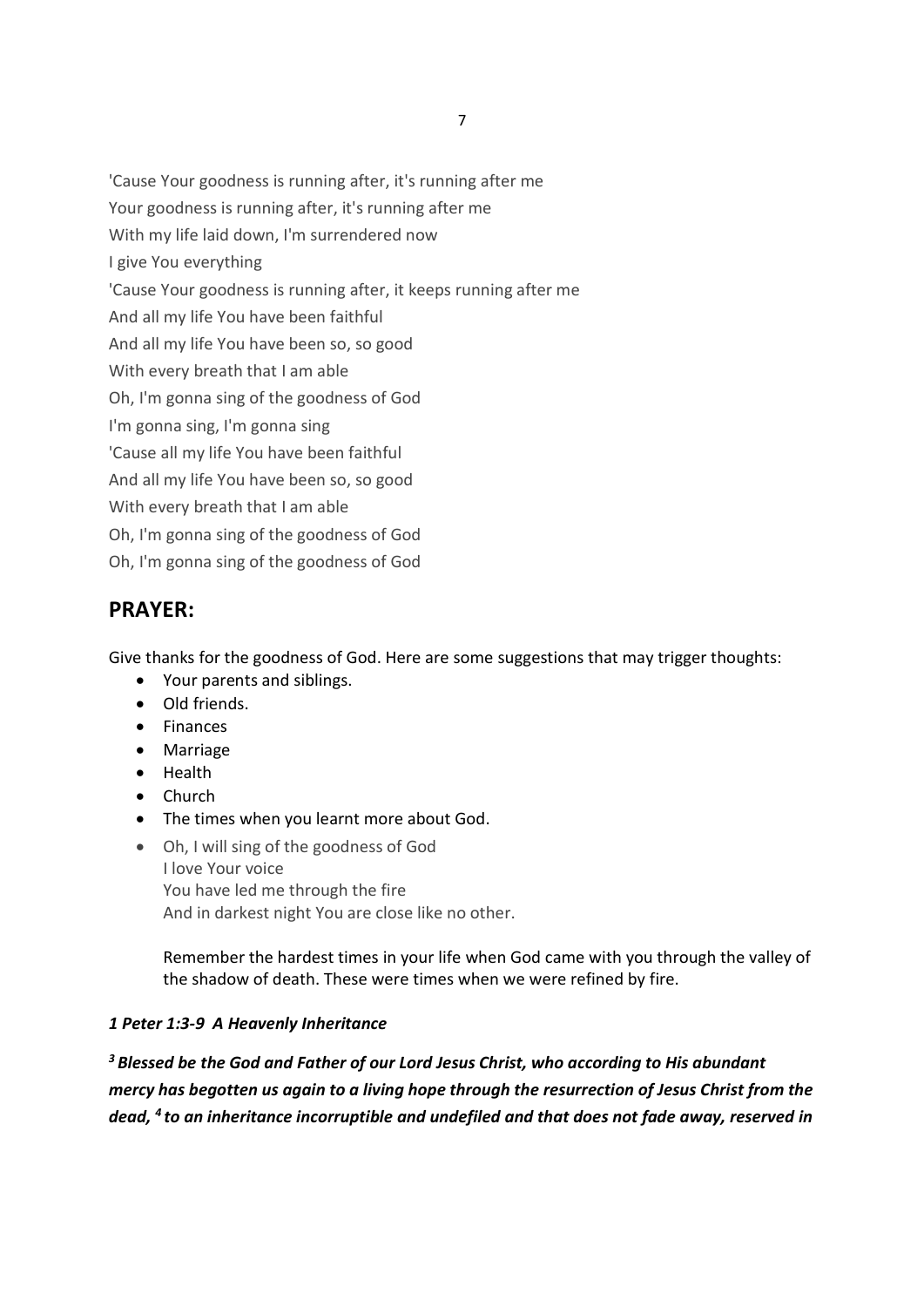'Cause Your goodness is running after, it's running after me Your goodness is running after, it's running after me With my life laid down, I'm surrendered now I give You everything 'Cause Your goodness is running after, it keeps running after me And all my life You have been faithful And all my life You have been so, so good With every breath that I am able Oh, I'm gonna sing of the goodness of God I'm gonna sing, I'm gonna sing 'Cause all my life You have been faithful And all my life You have been so, so good With every breath that I am able Oh, I'm gonna sing of the goodness of God Oh, I'm gonna sing of the goodness of God

# PRAYER:

Give thanks for the goodness of God. Here are some suggestions that may trigger thoughts:

- Your parents and siblings.
- Old friends.
- Finances
- Marriage
- Health
- Church
- The times when you learnt more about God.
- Oh, I will sing of the goodness of God I love Your voice You have led me through the fire And in darkest night You are close like no other.

Remember the hardest times in your life when God came with you through the valley of the shadow of death. These were times when we were refined by fire.

#### 1 Peter 1:3-9 A Heavenly Inheritance

<sup>3</sup> Blessed be the God and Father of our Lord Jesus Christ, who according to His abundant mercy has begotten us again to a living hope through the resurrection of Jesus Christ from the dead, <sup>4</sup> to an inheritance incorruptible and undefiled and that does not fade away, reserved in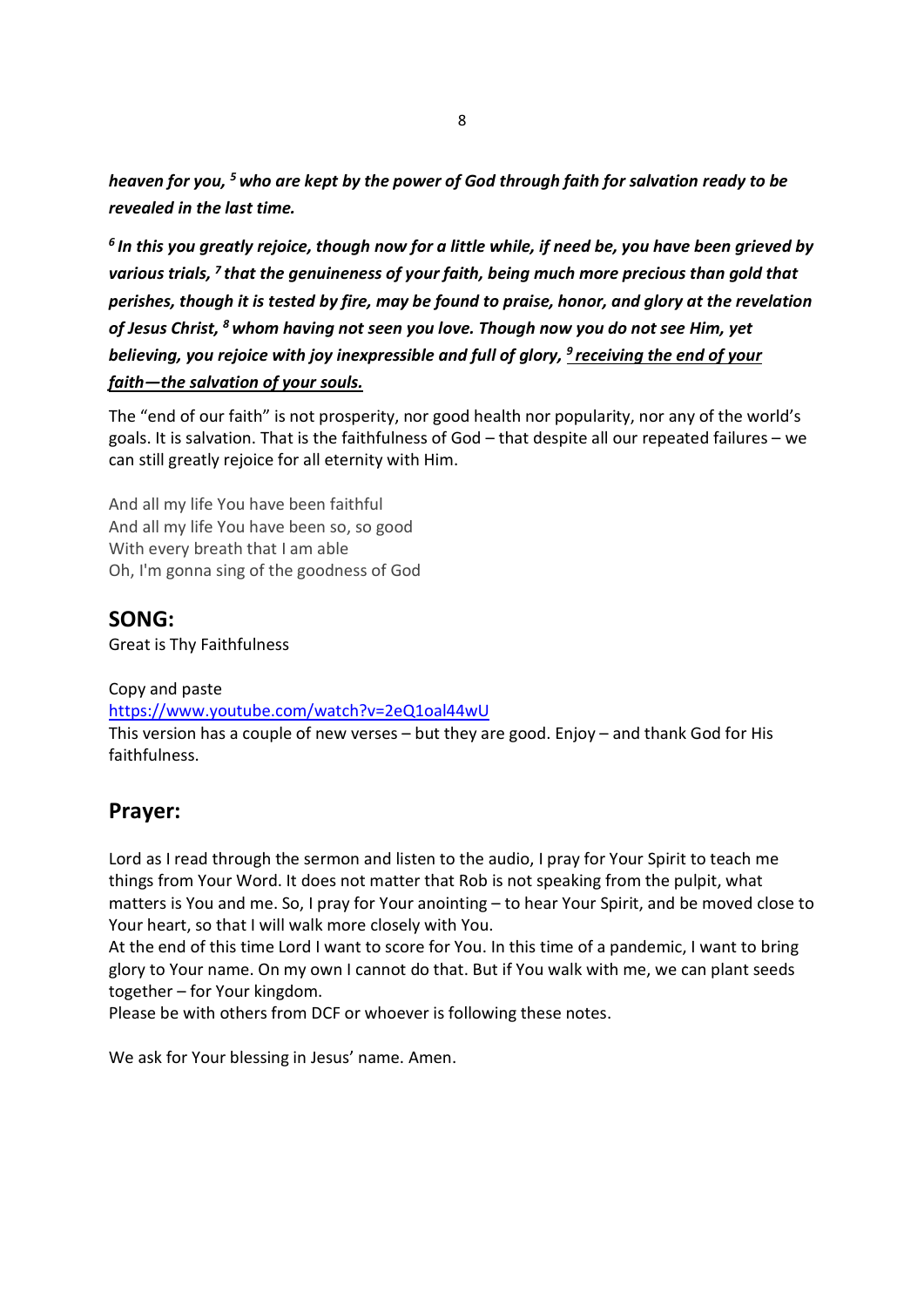heaven for you.<sup>5</sup> who are kept by the power of God through faith for salvation ready to be revealed in the last time.

 $6$  In this you greatly rejoice, though now for a little while, if need be, you have been grieved by various trials,  $<sup>7</sup>$  that the genuineness of your faith, being much more precious than gold that</sup> perishes, though it is tested by fire, may be found to praise, honor, and glory at the revelation of Jesus Christ, <sup>8</sup> whom having not seen you love. Though now you do not see Him, yet believing, you rejoice with joy inexpressible and full of glory,  $9$  receiving the end of your faith—the salvation of your souls.

The "end of our faith" is not prosperity, nor good health nor popularity, nor any of the world's goals. It is salvation. That is the faithfulness of God – that despite all our repeated failures – we can still greatly rejoice for all eternity with Him.

And all my life You have been faithful And all my life You have been so, so good With every breath that I am able Oh, I'm gonna sing of the goodness of God

## SONG:

Great is Thy Faithfulness

Copy and paste https://www.youtube.com/watch?v=2eQ1oal44wU This version has a couple of new verses – but they are good. Enjoy – and thank God for His faithfulness.

# Prayer:

Lord as I read through the sermon and listen to the audio, I pray for Your Spirit to teach me things from Your Word. It does not matter that Rob is not speaking from the pulpit, what matters is You and me. So, I pray for Your anointing – to hear Your Spirit, and be moved close to Your heart, so that I will walk more closely with You.

At the end of this time Lord I want to score for You. In this time of a pandemic, I want to bring glory to Your name. On my own I cannot do that. But if You walk with me, we can plant seeds together – for Your kingdom.

Please be with others from DCF or whoever is following these notes.

We ask for Your blessing in Jesus' name. Amen.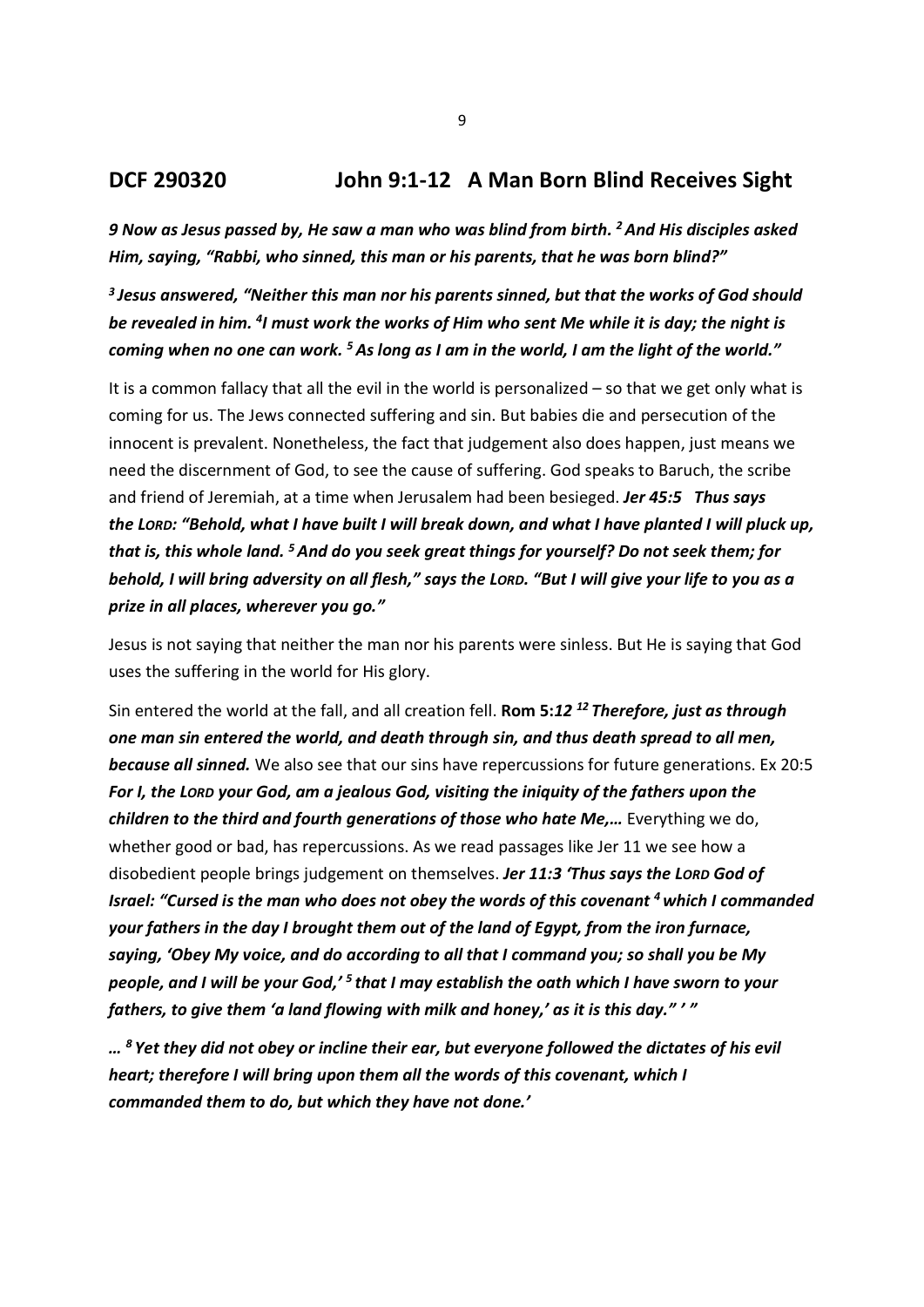# DCF 290320 John 9:1-12 A Man Born Blind Receives Sight

9 Now as Jesus passed by, He saw a man who was blind from birth. <sup>2</sup>And His disciples asked Him, saying, "Rabbi, who sinned, this man or his parents, that he was born blind?"

 $3$  Jesus answered, "Neither this man nor his parents sinned, but that the works of God should be revealed in him. <sup>4</sup>I must work the works of Him who sent Me while it is day; the night is coming when no one can work.  $5$  As long as I am in the world, I am the light of the world."

It is a common fallacy that all the evil in the world is personalized – so that we get only what is coming for us. The Jews connected suffering and sin. But babies die and persecution of the innocent is prevalent. Nonetheless, the fact that judgement also does happen, just means we need the discernment of God, to see the cause of suffering. God speaks to Baruch, the scribe and friend of Jeremiah, at a time when Jerusalem had been besieged. Jer 45:5 Thus says the LORD: "Behold, what I have built I will break down, and what I have planted I will pluck up, that is, this whole land.  $5$  And do you seek great things for yourself? Do not seek them; for behold, I will bring adversity on all flesh," says the LORD. "But I will give your life to you as a prize in all places, wherever you go."

Jesus is not saying that neither the man nor his parents were sinless. But He is saying that God uses the suffering in the world for His glory.

Sin entered the world at the fall, and all creation fell. Rom 5:12  $^{12}$  Therefore, just as through one man sin entered the world, and death through sin, and thus death spread to all men, because all sinned. We also see that our sins have repercussions for future generations. Ex 20:5 For I, the LORD your God, am a jealous God, visiting the iniquity of the fathers upon the children to the third and fourth generations of those who hate Me,... Everything we do, whether good or bad, has repercussions. As we read passages like Jer 11 we see how a disobedient people brings judgement on themselves. Jer 11:3 'Thus says the LORD God of Israel: "Cursed is the man who does not obey the words of this covenant  $4$  which I commanded your fathers in the day I brought them out of the land of Egypt, from the iron furnace, saying, 'Obey My voice, and do according to all that I command you; so shall you be My people, and I will be your God,'  $5$  that I may establish the oath which I have sworn to your fathers, to give them 'a land flowing with milk and honey,' as it is this day." ' "

… <sup>8</sup>Yet they did not obey or incline their ear, but everyone followed the dictates of his evil heart; therefore I will bring upon them all the words of this covenant, which I commanded them to do, but which they have not done.'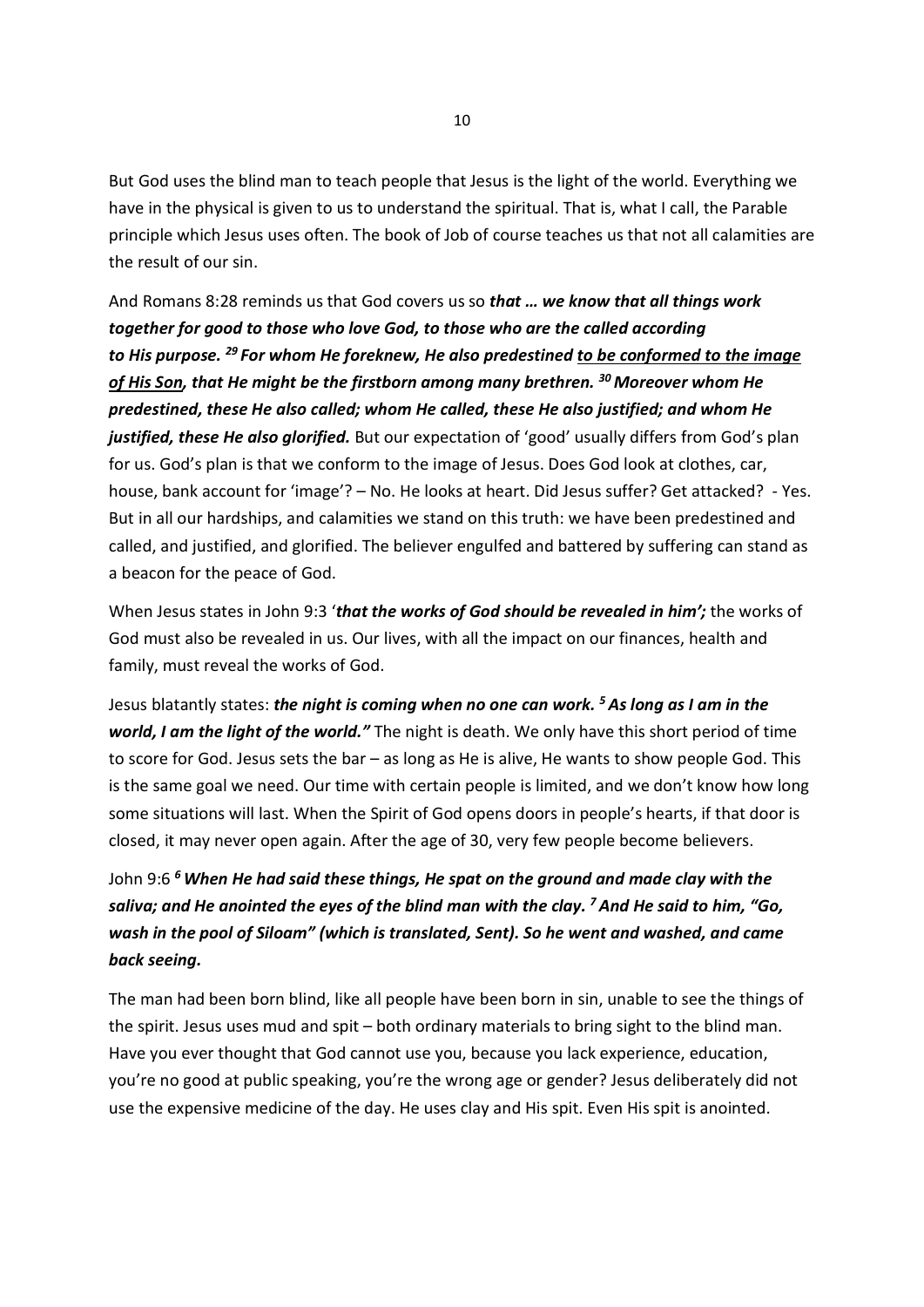But God uses the blind man to teach people that Jesus is the light of the world. Everything we have in the physical is given to us to understand the spiritual. That is, what I call, the Parable principle which Jesus uses often. The book of Job of course teaches us that not all calamities are the result of our sin.

And Romans 8:28 reminds us that God covers us so that ... we know that all things work together for good to those who love God, to those who are the called according to His purpose.  $^{29}$  For whom He foreknew, He also predestined to be conformed to the image of His Son, that He might be the firstborn among many brethren.  $30$  Moreover whom He predestined, these He also called; whom He called, these He also justified; and whom He justified, these He also glorified. But our expectation of 'good' usually differs from God's plan for us. God's plan is that we conform to the image of Jesus. Does God look at clothes, car, house, bank account for 'image'? – No. He looks at heart. Did Jesus suffer? Get attacked? - Yes. But in all our hardships, and calamities we stand on this truth: we have been predestined and called, and justified, and glorified. The believer engulfed and battered by suffering can stand as a beacon for the peace of God.

When Jesus states in John 9:3 'that the works of God should be revealed in him'; the works of God must also be revealed in us. Our lives, with all the impact on our finances, health and family, must reveal the works of God.

Jesus blatantly states: the night is coming when no one can work.  $5$  As long as I am in the world, I am the light of the world." The night is death. We only have this short period of time to score for God. Jesus sets the bar – as long as He is alive, He wants to show people God. This is the same goal we need. Our time with certain people is limited, and we don't know how long some situations will last. When the Spirit of God opens doors in people's hearts, if that door is closed, it may never open again. After the age of 30, very few people become believers.

John 9:6  $6$  When He had said these things, He spat on the ground and made clay with the saliva; and He anointed the eyes of the blind man with the clay. <sup>7</sup> And He said to him, "Go, wash in the pool of Siloam" (which is translated, Sent). So he went and washed, and came back seeing.

The man had been born blind, like all people have been born in sin, unable to see the things of the spirit. Jesus uses mud and spit – both ordinary materials to bring sight to the blind man. Have you ever thought that God cannot use you, because you lack experience, education, you're no good at public speaking, you're the wrong age or gender? Jesus deliberately did not use the expensive medicine of the day. He uses clay and His spit. Even His spit is anointed.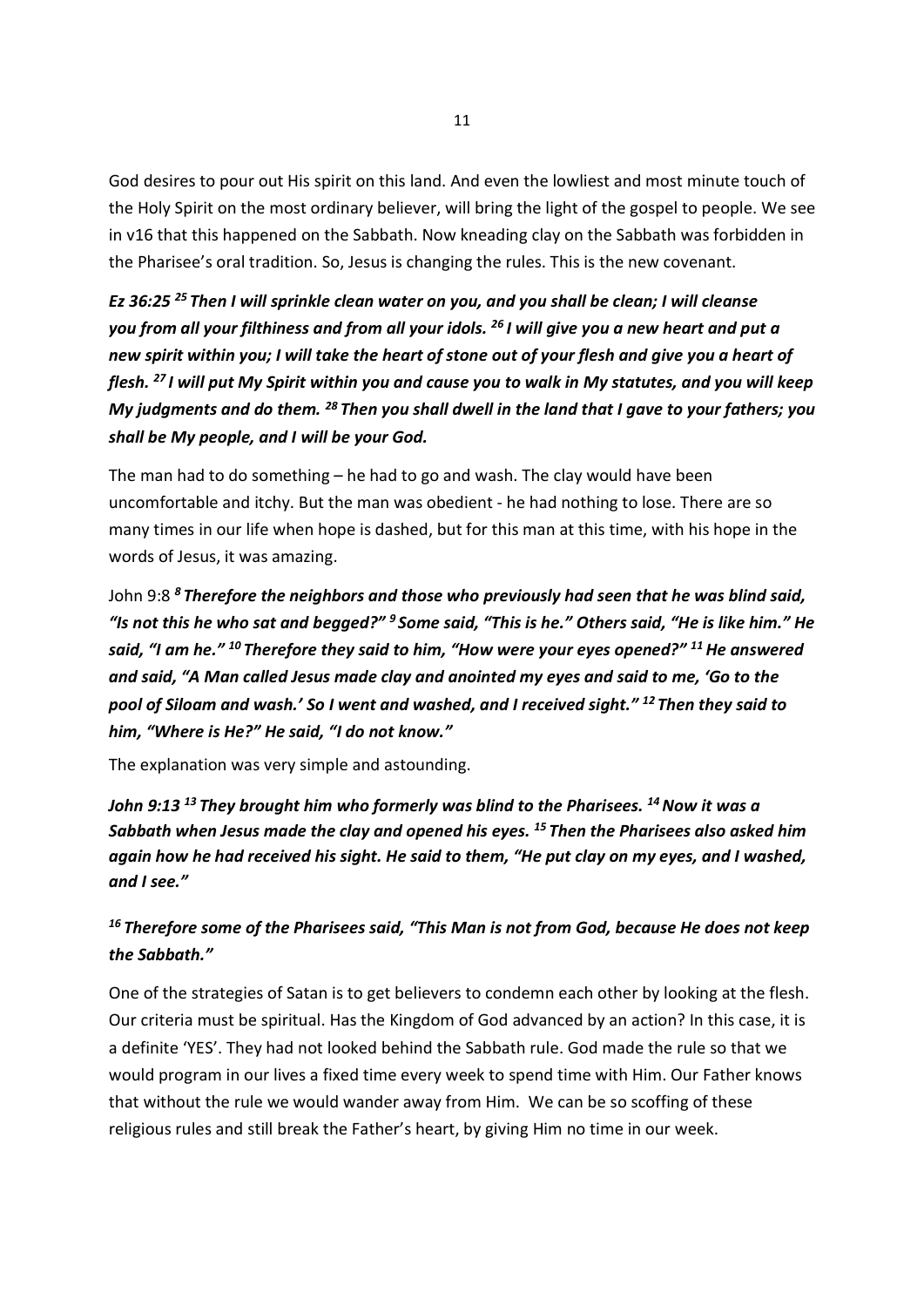God desires to pour out His spirit on this land. And even the lowliest and most minute touch of the Holy Spirit on the most ordinary believer, will bring the light of the gospel to people. We see in v16 that this happened on the Sabbath. Now kneading clay on the Sabbath was forbidden in the Pharisee's oral tradition. So, Jesus is changing the rules. This is the new covenant.

Ez 36:25<sup>25</sup> Then I will sprinkle clean water on you, and you shall be clean; I will cleanse you from all your filthiness and from all your idols. <sup>26</sup> I will give you a new heart and put a new spirit within you; I will take the heart of stone out of your flesh and give you a heart of flesh. <sup>27</sup> I will put My Spirit within you and cause you to walk in My statutes, and you will keep My judgments and do them.  $^{28}$  Then you shall dwell in the land that I gave to your fathers; you shall be My people, and I will be your God.

The man had to do something – he had to go and wash. The clay would have been uncomfortable and itchy. But the man was obedient - he had nothing to lose. There are so many times in our life when hope is dashed, but for this man at this time, with his hope in the words of Jesus, it was amazing.

John 9:8  $8$  Therefore the neighbors and those who previously had seen that he was blind said, "Is not this he who sat and begged?"  $9$  Some said, "This is he." Others said, "He is like him." He said, "I am he."  $^{10}$  Therefore they said to him, "How were your eyes opened?"  $^{11}$  He answered and said, "A Man called Jesus made clay and anointed my eyes and said to me, 'Go to the pool of Siloam and wash.' So I went and washed, and I received sight." <sup>12</sup> Then they said to him, "Where is He?" He said, "I do not know."

The explanation was very simple and astounding.

John 9:13<sup>13</sup> They brought him who formerly was blind to the Pharisees.  $^{14}$  Now it was a Sabbath when Jesus made the clay and opened his eyes.  $^{15}$  Then the Pharisees also asked him again how he had received his sight. He said to them, "He put clay on my eyes, and I washed, and I see."

### <sup>16</sup> Therefore some of the Pharisees said, "This Man is not from God, because He does not keep the Sabbath."

One of the strategies of Satan is to get believers to condemn each other by looking at the flesh. Our criteria must be spiritual. Has the Kingdom of God advanced by an action? In this case, it is a definite 'YES'. They had not looked behind the Sabbath rule. God made the rule so that we would program in our lives a fixed time every week to spend time with Him. Our Father knows that without the rule we would wander away from Him. We can be so scoffing of these religious rules and still break the Father's heart, by giving Him no time in our week.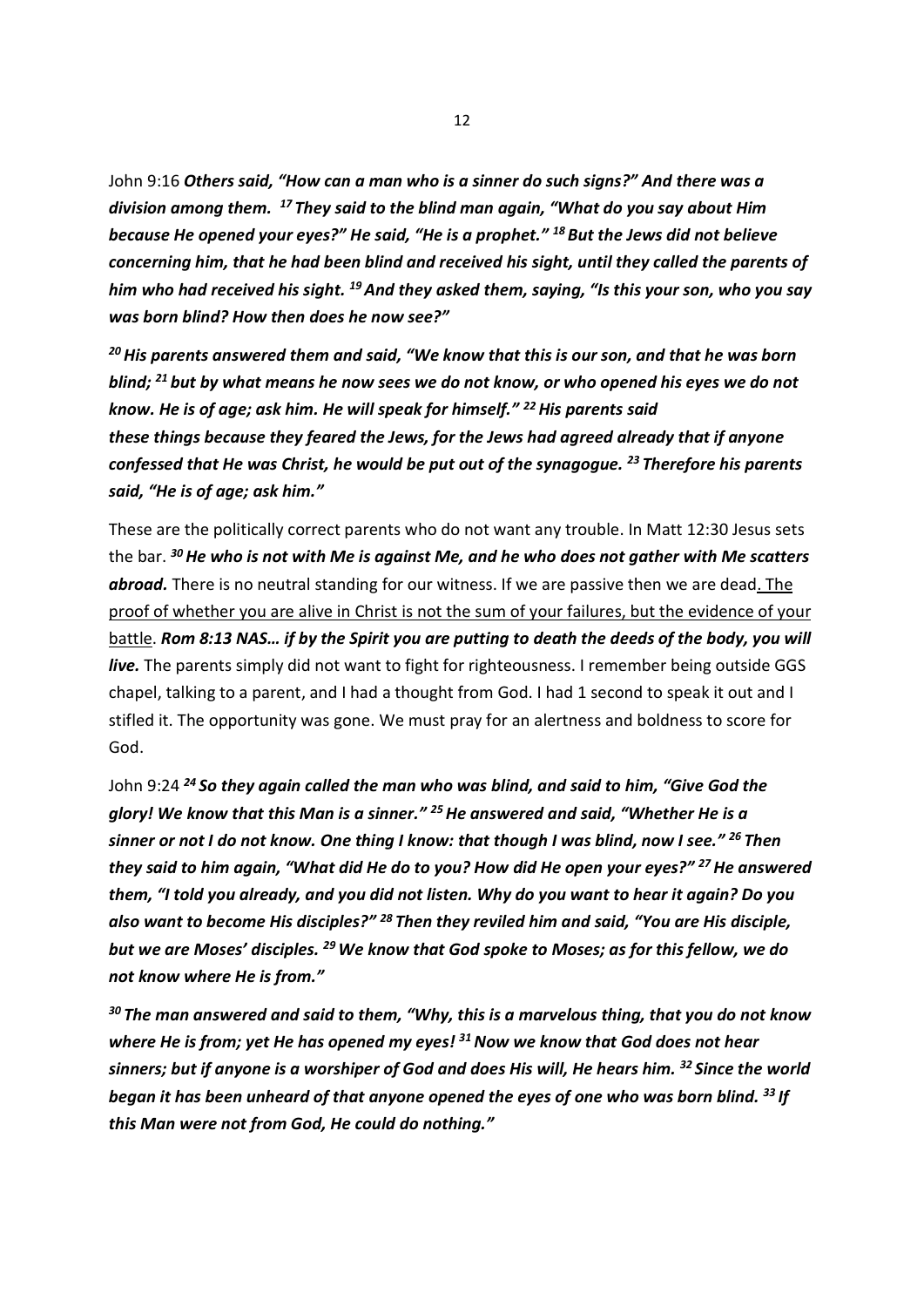John 9:16 Others said, "How can a man who is a sinner do such sians?" And there was a division among them.  $^{17}$  They said to the blind man again, "What do you say about Him because He opened your eyes?" He said, "He is a prophet."  $^{18}$  But the Jews did not believe concerning him, that he had been blind and received his sight, until they called the parents of him who had received his sight.  $^{19}$  And they asked them, saying, "Is this your son, who you say was born blind? How then does he now see?"

 $20$  His parents answered them and said, "We know that this is our son, and that he was born blind;  $21$  but by what means he now sees we do not know, or who opened his eyes we do not know. He is of age; ask him. He will speak for himself."  $^{22}$  His parents said these things because they feared the Jews, for the Jews had agreed already that if anyone confessed that He was Christ, he would be put out of the synagogue. <sup>23</sup> Therefore his parents said, "He is of age; ask him."

These are the politically correct parents who do not want any trouble. In Matt 12:30 Jesus sets the bar.  $30$  He who is not with Me is against Me, and he who does not gather with Me scatters abroad. There is no neutral standing for our witness. If we are passive then we are dead. The proof of whether you are alive in Christ is not the sum of your failures, but the evidence of your battle. Rom 8:13 NAS… if by the Spirit you are putting to death the deeds of the body, you will live. The parents simply did not want to fight for righteousness. I remember being outside GGS chapel, talking to a parent, and I had a thought from God. I had 1 second to speak it out and I stifled it. The opportunity was gone. We must pray for an alertness and boldness to score for God.

John 9:24  $^{24}$  So they again called the man who was blind, and said to him, "Give God the glory! We know that this Man is a sinner."  $^{25}$  He answered and said, "Whether He is a sinner or not I do not know. One thing I know: that though I was blind, now I see."  $^{26}$  Then they said to him again, "What did He do to you? How did He open your eyes?"  $^{27}$  He answered them, "I told you already, and you did not listen. Why do you want to hear it again? Do you also want to become His disciples?"  $^{28}$  Then they reviled him and said, "You are His disciple, but we are Moses' disciples. <sup>29</sup> We know that God spoke to Moses; as for this fellow, we do not know where He is from."

 $30$  The man answered and said to them, "Why, this is a marvelous thing, that you do not know where He is from; yet He has opened my eyes!  $31$  Now we know that God does not hear sinners; but if anyone is a worshiper of God and does His will, He hears him.  $32$  Since the world began it has been unheard of that anyone opened the eyes of one who was born blind. 33 If this Man were not from God, He could do nothing."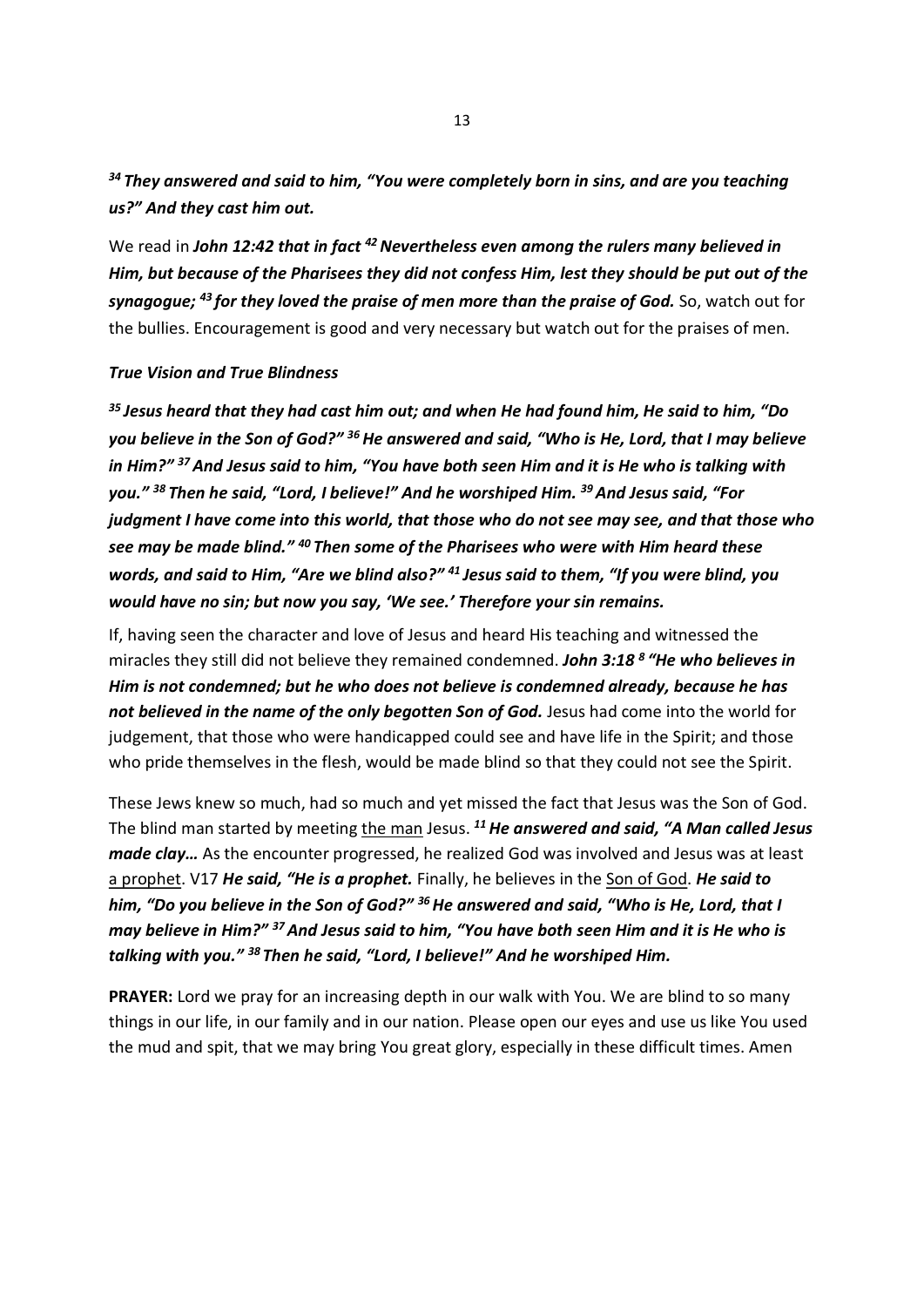## $34$  They answered and said to him. "You were completely born in sins, and are you teaching us?" And they cast him out.

We read in John 12:42 that in fact  $42$  Nevertheless even among the rulers many believed in Him, but because of the Pharisees they did not confess Him, lest they should be put out of the synagogue;  $43$  for they loved the praise of men more than the praise of God. So, watch out for the bullies. Encouragement is good and very necessary but watch out for the praises of men.

#### True Vision and True Blindness

 $35$  Jesus heard that they had cast him out; and when He had found him, He said to him, "Do you believe in the Son of God?" <sup>36</sup> He answered and said, "Who is He, Lord, that I may believe in Him?"  $37$  And Jesus said to him, "You have both seen Him and it is He who is talking with you." <sup>38</sup> Then he said, "Lord, I believe!" And he worshiped Him. <sup>39</sup> And Jesus said, "For judgment I have come into this world, that those who do not see may see, and that those who see may be made blind." <sup>40</sup> Then some of the Pharisees who were with Him heard these words, and said to Him, "Are we blind also?"  $41$  Jesus said to them, "If you were blind, you would have no sin; but now you say, 'We see.' Therefore your sin remains.

If, having seen the character and love of Jesus and heard His teaching and witnessed the miracles they still did not believe they remained condemned. John 3:18<sup>8</sup> "He who believes in Him is not condemned; but he who does not believe is condemned already, because he has not believed in the name of the only begotten Son of God. Jesus had come into the world for judgement, that those who were handicapped could see and have life in the Spirit; and those who pride themselves in the flesh, would be made blind so that they could not see the Spirit.

These Jews knew so much, had so much and yet missed the fact that Jesus was the Son of God. The blind man started by meeting the man Jesus.  $11$  He answered and said, "A Man called Jesus made clay... As the encounter progressed, he realized God was involved and Jesus was at least a prophet. V17 He said, "He is a prophet. Finally, he believes in the Son of God. He said to him, "Do you believe in the Son of God?" <sup>36</sup> He answered and said, "Who is He, Lord, that I may believe in Him?" <sup>37</sup> And Jesus said to him, "You have both seen Him and it is He who is talking with you." 38 Then he said, "Lord, I believe!" And he worshiped Him.

PRAYER: Lord we pray for an increasing depth in our walk with You. We are blind to so many things in our life, in our family and in our nation. Please open our eyes and use us like You used the mud and spit, that we may bring You great glory, especially in these difficult times. Amen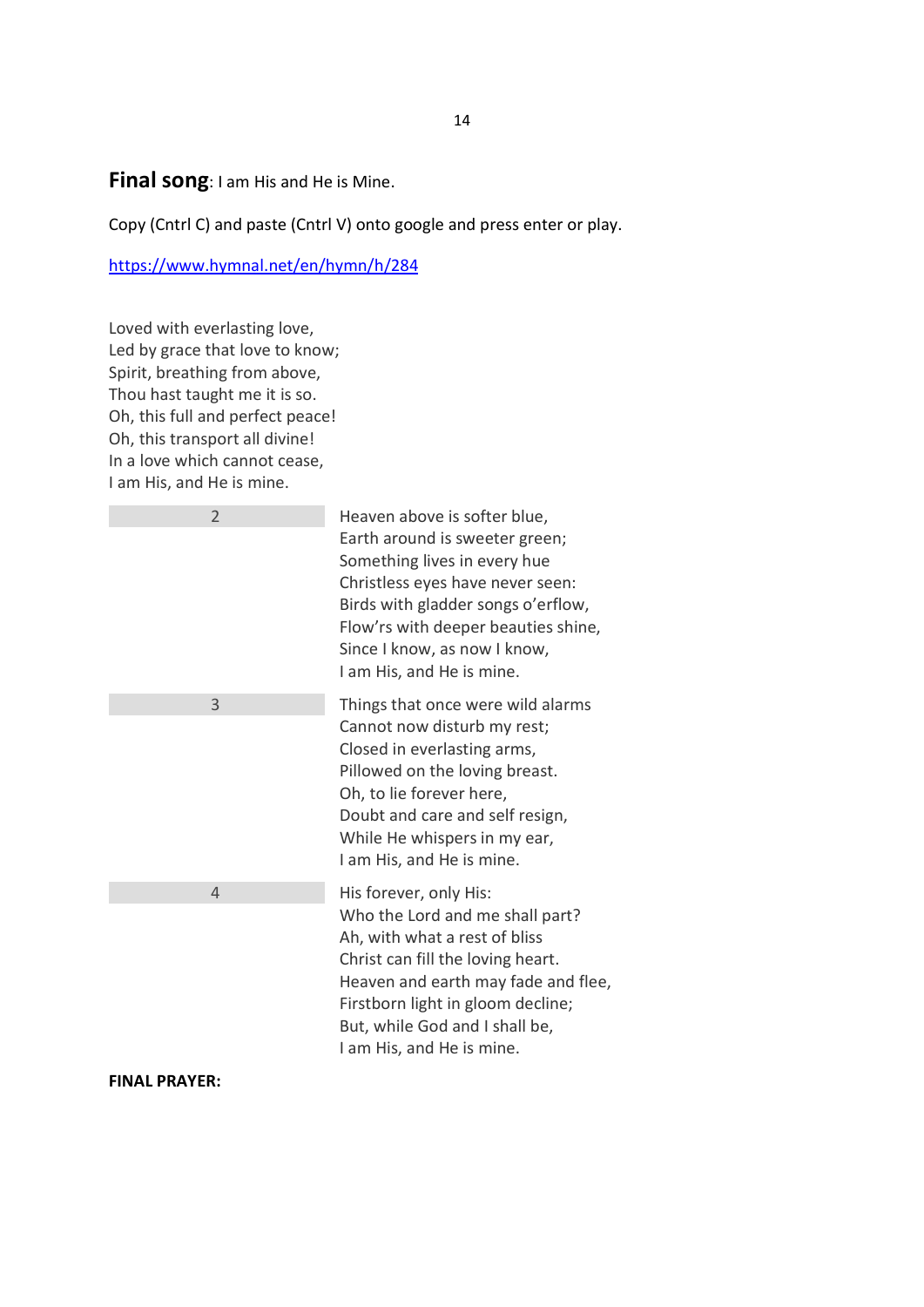Final song: I am His and He is Mine.

Copy (Cntrl C) and paste (Cntrl V) onto google and press enter or play.

https://www.hymnal.net/en/hymn/h/284

Loved with everlasting love, Led by grace that love to know; Spirit, breathing from above, Thou hast taught me it is so. Oh, this full and perfect peace! Oh, this transport all divine! In a love which cannot cease, I am His, and He is mine.

| $\overline{2}$ | Heaven above is softer blue,<br>Earth around is sweeter green;<br>Something lives in every hue<br>Christless eyes have never seen:<br>Birds with gladder songs o'erflow,<br>Flow'rs with deeper beauties shine,<br>Since I know, as now I know,<br>I am His, and He is mine. |
|----------------|------------------------------------------------------------------------------------------------------------------------------------------------------------------------------------------------------------------------------------------------------------------------------|
| 3              | Things that once were wild alarms<br>Cannot now disturb my rest;<br>Closed in everlasting arms,<br>Pillowed on the loving breast.<br>Oh, to lie forever here,<br>Doubt and care and self resign,<br>While He whispers in my ear,<br>I am His, and He is mine.                |
| $\overline{4}$ | His forever, only His:<br>Who the Lord and me shall part?<br>Ah, with what a rest of bliss<br>Christ can fill the loving heart.<br>Heaven and earth may fade and flee,<br>Firstborn light in gloom decline;<br>But, while God and I shall be,<br>I am His, and He is mine.   |

FINAL PRAYER: